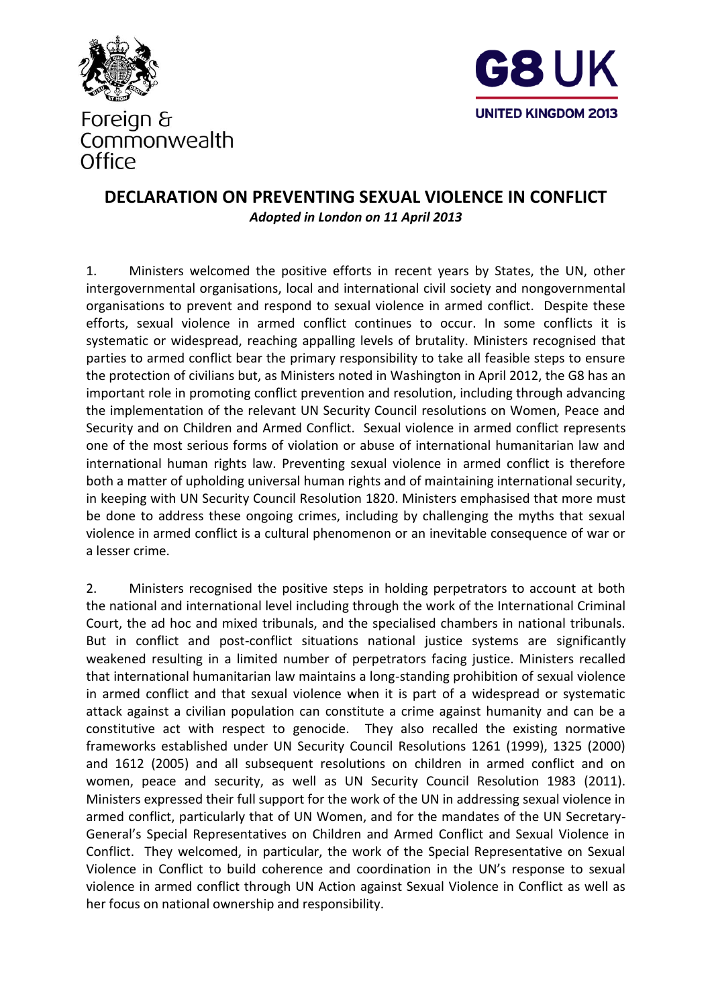



#### **DECLARATION ON PREVENTING SEXUAL VIOLENCE IN CONFLICT** *Adopted in London on 11 April 2013*

1. Ministers welcomed the positive efforts in recent years by States, the UN, other intergovernmental organisations, local and international civil society and nongovernmental organisations to prevent and respond to sexual violence in armed conflict. Despite these efforts, sexual violence in armed conflict continues to occur. In some conflicts it is systematic or widespread, reaching appalling levels of brutality. Ministers recognised that parties to armed conflict bear the primary responsibility to take all feasible steps to ensure the protection of civilians but, as Ministers noted in Washington in April 2012, the G8 has an important role in promoting conflict prevention and resolution, including through advancing the implementation of the relevant UN Security Council resolutions on Women, Peace and Security and on Children and Armed Conflict. Sexual violence in armed conflict represents one of the most serious forms of violation or abuse of international humanitarian law and international human rights law. Preventing sexual violence in armed conflict is therefore both a matter of upholding universal human rights and of maintaining international security, in keeping with UN Security Council Resolution 1820. Ministers emphasised that more must be done to address these ongoing crimes, including by challenging the myths that sexual violence in armed conflict is a cultural phenomenon or an inevitable consequence of war or a lesser crime.

2. Ministers recognised the positive steps in holding perpetrators to account at both the national and international level including through the work of the International Criminal Court, the ad hoc and mixed tribunals, and the specialised chambers in national tribunals. But in conflict and post-conflict situations national justice systems are significantly weakened resulting in a limited number of perpetrators facing justice. Ministers recalled that international humanitarian law maintains a long-standing prohibition of sexual violence in armed conflict and that sexual violence when it is part of a widespread or systematic attack against a civilian population can constitute a crime against humanity and can be a constitutive act with respect to genocide. They also recalled the existing normative frameworks established under UN Security Council Resolutions 1261 (1999), 1325 (2000) and 1612 (2005) and all subsequent resolutions on children in armed conflict and on women, peace and security, as well as UN Security Council Resolution 1983 (2011). Ministers expressed their full support for the work of the UN in addressing sexual violence in armed conflict, particularly that of UN Women, and for the mandates of the UN Secretary-General's Special Representatives on Children and Armed Conflict and Sexual Violence in Conflict. They welcomed, in particular, the work of the Special Representative on Sexual Violence in Conflict to build coherence and coordination in the UN's response to sexual violence in armed conflict through UN Action against Sexual Violence in Conflict as well as her focus on national ownership and responsibility.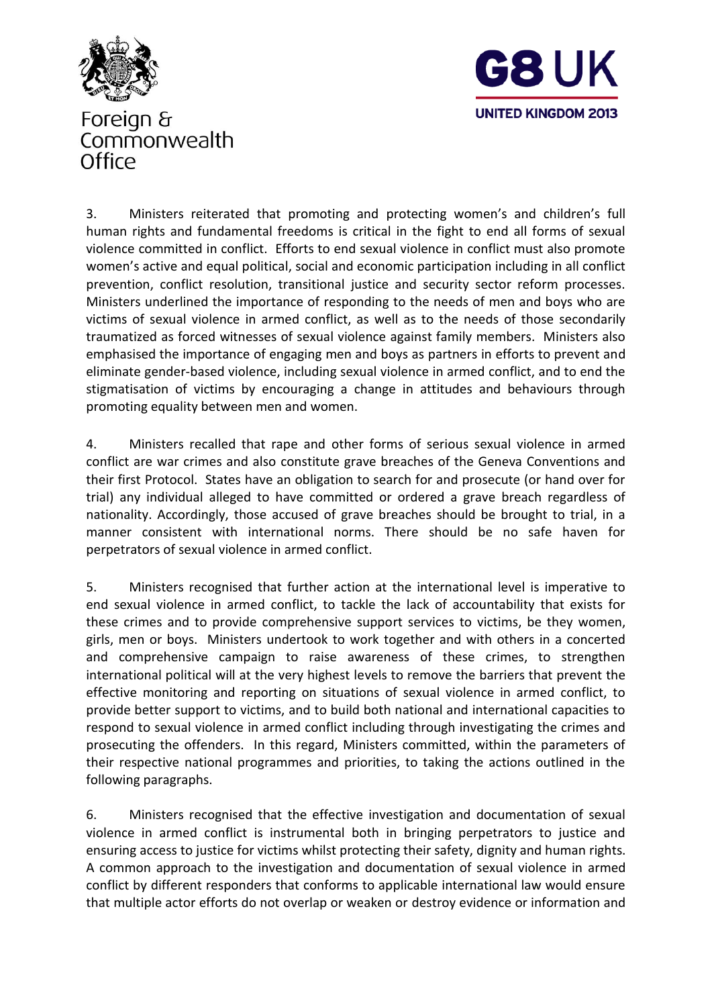



3. Ministers reiterated that promoting and protecting women's and children's full human rights and fundamental freedoms is critical in the fight to end all forms of sexual violence committed in conflict. Efforts to end sexual violence in conflict must also promote women's active and equal political, social and economic participation including in all conflict prevention, conflict resolution, transitional justice and security sector reform processes. Ministers underlined the importance of responding to the needs of men and boys who are victims of sexual violence in armed conflict, as well as to the needs of those secondarily traumatized as forced witnesses of sexual violence against family members. Ministers also emphasised the importance of engaging men and boys as partners in efforts to prevent and eliminate gender-based violence, including sexual violence in armed conflict, and to end the stigmatisation of victims by encouraging a change in attitudes and behaviours through promoting equality between men and women.

4. Ministers recalled that rape and other forms of serious sexual violence in armed conflict are war crimes and also constitute grave breaches of the Geneva Conventions and their first Protocol. States have an obligation to search for and prosecute (or hand over for trial) any individual alleged to have committed or ordered a grave breach regardless of nationality. Accordingly, those accused of grave breaches should be brought to trial, in a manner consistent with international norms. There should be no safe haven for perpetrators of sexual violence in armed conflict.

5. Ministers recognised that further action at the international level is imperative to end sexual violence in armed conflict, to tackle the lack of accountability that exists for these crimes and to provide comprehensive support services to victims, be they women, girls, men or boys. Ministers undertook to work together and with others in a concerted and comprehensive campaign to raise awareness of these crimes, to strengthen international political will at the very highest levels to remove the barriers that prevent the effective monitoring and reporting on situations of sexual violence in armed conflict, to provide better support to victims, and to build both national and international capacities to respond to sexual violence in armed conflict including through investigating the crimes and prosecuting the offenders. In this regard, Ministers committed, within the parameters of their respective national programmes and priorities, to taking the actions outlined in the following paragraphs.

6. Ministers recognised that the effective investigation and documentation of sexual violence in armed conflict is instrumental both in bringing perpetrators to justice and ensuring access to justice for victims whilst protecting their safety, dignity and human rights. A common approach to the investigation and documentation of sexual violence in armed conflict by different responders that conforms to applicable international law would ensure that multiple actor efforts do not overlap or weaken or destroy evidence or information and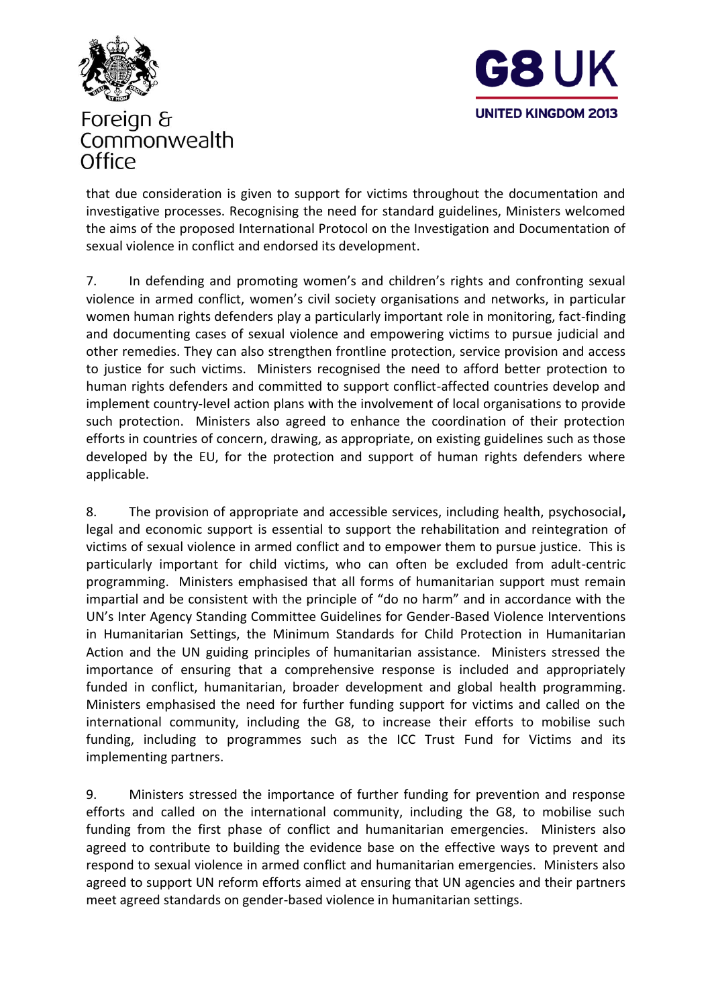



that due consideration is given to support for victims throughout the documentation and investigative processes. Recognising the need for standard guidelines, Ministers welcomed the aims of the proposed International Protocol on the Investigation and Documentation of sexual violence in conflict and endorsed its development.

7. In defending and promoting women's and children's rights and confronting sexual violence in armed conflict, women's civil society organisations and networks, in particular women human rights defenders play a particularly important role in monitoring, fact-finding and documenting cases of sexual violence and empowering victims to pursue judicial and other remedies. They can also strengthen frontline protection, service provision and access to justice for such victims. Ministers recognised the need to afford better protection to human rights defenders and committed to support conflict-affected countries develop and implement country-level action plans with the involvement of local organisations to provide such protection. Ministers also agreed to enhance the coordination of their protection efforts in countries of concern, drawing, as appropriate, on existing guidelines such as those developed by the EU, for the protection and support of human rights defenders where applicable.

8. The provision of appropriate and accessible services, including health, psychosocial**,**  legal and economic support is essential to support the rehabilitation and reintegration of victims of sexual violence in armed conflict and to empower them to pursue justice. This is particularly important for child victims, who can often be excluded from adult-centric programming. Ministers emphasised that all forms of humanitarian support must remain impartial and be consistent with the principle of "do no harm" and in accordance with the UN's Inter Agency Standing Committee Guidelines for Gender-Based Violence Interventions in Humanitarian Settings, the Minimum Standards for Child Protection in Humanitarian Action and the UN guiding principles of humanitarian assistance. Ministers stressed the importance of ensuring that a comprehensive response is included and appropriately funded in conflict, humanitarian, broader development and global health programming. Ministers emphasised the need for further funding support for victims and called on the international community, including the G8, to increase their efforts to mobilise such funding, including to programmes such as the ICC Trust Fund for Victims and its implementing partners.

9. Ministers stressed the importance of further funding for prevention and response efforts and called on the international community, including the G8, to mobilise such funding from the first phase of conflict and humanitarian emergencies. Ministers also agreed to contribute to building the evidence base on the effective ways to prevent and respond to sexual violence in armed conflict and humanitarian emergencies. Ministers also agreed to support UN reform efforts aimed at ensuring that UN agencies and their partners meet agreed standards on gender-based violence in humanitarian settings.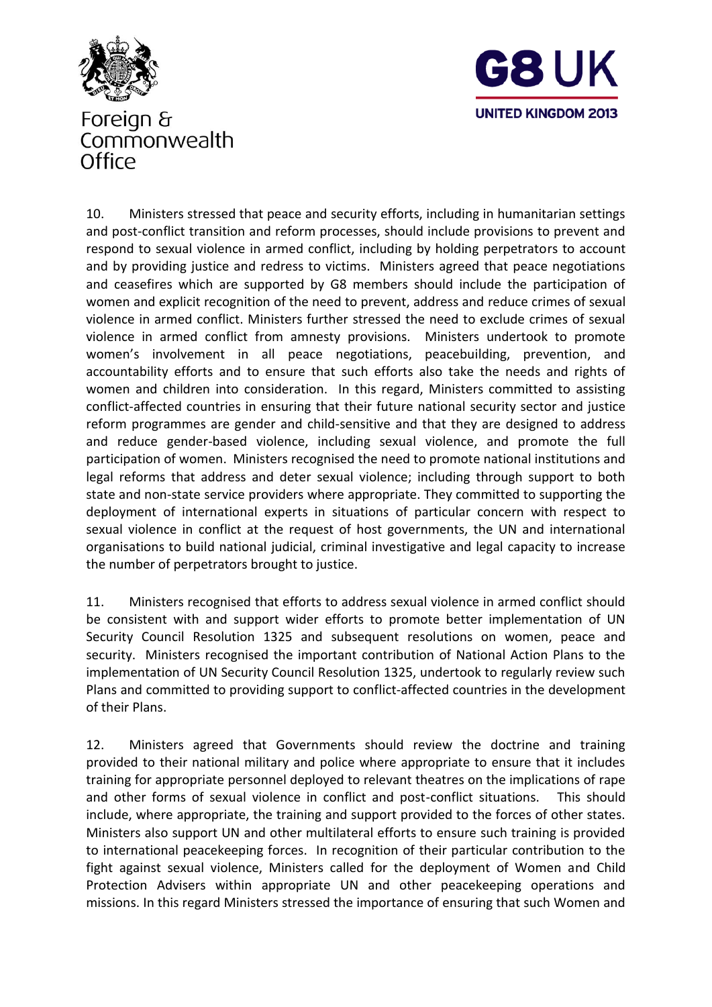



10. Ministers stressed that peace and security efforts, including in humanitarian settings and post-conflict transition and reform processes, should include provisions to prevent and respond to sexual violence in armed conflict, including by holding perpetrators to account and by providing justice and redress to victims. Ministers agreed that peace negotiations and ceasefires which are supported by G8 members should include the participation of women and explicit recognition of the need to prevent, address and reduce crimes of sexual violence in armed conflict. Ministers further stressed the need to exclude crimes of sexual violence in armed conflict from amnesty provisions. Ministers undertook to promote women's involvement in all peace negotiations, peacebuilding, prevention, and accountability efforts and to ensure that such efforts also take the needs and rights of women and children into consideration. In this regard, Ministers committed to assisting conflict-affected countries in ensuring that their future national security sector and justice reform programmes are gender and child-sensitive and that they are designed to address and reduce gender-based violence, including sexual violence, and promote the full participation of women. Ministers recognised the need to promote national institutions and legal reforms that address and deter sexual violence; including through support to both state and non-state service providers where appropriate. They committed to supporting the deployment of international experts in situations of particular concern with respect to sexual violence in conflict at the request of host governments, the UN and international organisations to build national judicial, criminal investigative and legal capacity to increase the number of perpetrators brought to justice.

11. Ministers recognised that efforts to address sexual violence in armed conflict should be consistent with and support wider efforts to promote better implementation of UN Security Council Resolution 1325 and subsequent resolutions on women, peace and security. Ministers recognised the important contribution of National Action Plans to the implementation of UN Security Council Resolution 1325, undertook to regularly review such Plans and committed to providing support to conflict-affected countries in the development of their Plans.

12. Ministers agreed that Governments should review the doctrine and training provided to their national military and police where appropriate to ensure that it includes training for appropriate personnel deployed to relevant theatres on the implications of rape and other forms of sexual violence in conflict and post-conflict situations. This should include, where appropriate, the training and support provided to the forces of other states. Ministers also support UN and other multilateral efforts to ensure such training is provided to international peacekeeping forces. In recognition of their particular contribution to the fight against sexual violence, Ministers called for the deployment of Women and Child Protection Advisers within appropriate UN and other peacekeeping operations and missions. In this regard Ministers stressed the importance of ensuring that such Women and